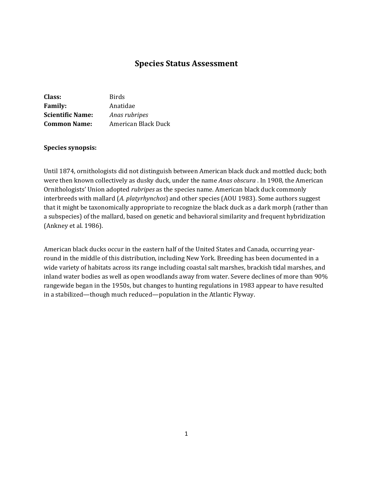# **Species Status Assessment**

| Class:                  | Birds               |
|-------------------------|---------------------|
| <b>Family:</b>          | Anatidae            |
| <b>Scientific Name:</b> | Anas rubripes       |
| <b>Common Name:</b>     | American Black Duck |

#### **Species synopsis:**

Until 1874, ornithologists did not distinguish between American black duck and mottled duck; both were then known collectively as dusky duck, under the name *Anas obscura* . In 1908, the American Ornithologists' Union adopted *rubripes* as the species name. American black duck commonly interbreeds with mallard (*A. platyrhynchos*) and other species (AOU 1983). Some authors suggest that it might be taxonomically appropriate to recognize the black duck as a dark morph (rather than a subspecies) of the mallard, based on genetic and behavioral similarity and frequent hybridization (Ankney et al. 1986).

American black ducks occur in the eastern half of the United States and Canada, occurring yearround in the middle of this distribution, including New York. Breeding has been documented in a wide variety of habitats across its range including coastal salt marshes, brackish tidal marshes, and inland water bodies as well as open woodlands away from water. Severe declines of more than 90% rangewide began in the 1950s, but changes to hunting regulations in 1983 appear to have resulted in a stabilized—though much reduced—population in the Atlantic Flyway.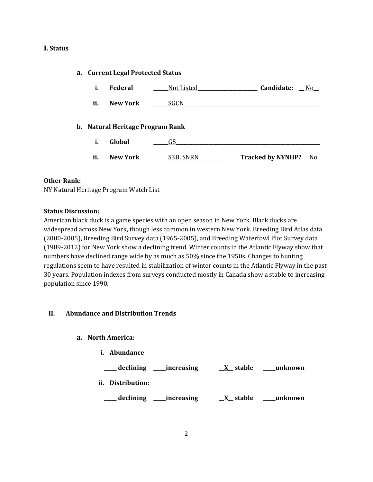## **I. Status**

#### **a. Current Legal Protected Status**

| i.  | Federal                          | Not Listed | Candidate:<br>No.    |
|-----|----------------------------------|------------|----------------------|
| ii. | New York                         | SGCN       |                      |
|     | b. Natural Heritage Program Rank |            |                      |
| i.  | Global                           | G5         |                      |
| ii. | <b>New York</b>                  | S3B, SNRN  | Tracked by NYNHP? No |

#### **Other Rank:**

NY Natural Heritage Program Watch List

## **Status Discussion:**

American black duck is a game species with an open season in New York. Black ducks are widespread across New York, though less common in western New York. Breeding Bird Atlas data (2000-2005), Breeding Bird Survey data (1965-2005), and Breeding Waterfowl Plot Survey data (1989-2012) for New York show a declining trend. Winter counts in the Atlantic Flyway show that numbers have declined range wide by as much as 50% since the 1950s. Changes to hunting regulations seem to have resulted in stabilization of winter counts in the Atlantic Flyway in the past 30 years. Population indexes from surveys conducted mostly in Canada show a stable to increasing population since 1990.

## **II. Abundance and Distribution Trends**

**a. North America:** 

| ī.  | <b>Abundance</b> |             |            |         |
|-----|------------------|-------------|------------|---------|
|     | declining        | _increasing | $X$ stable | unknown |
| ii. | Distribution:    |             |            |         |
|     | declining        | increasing  | stable     | unknown |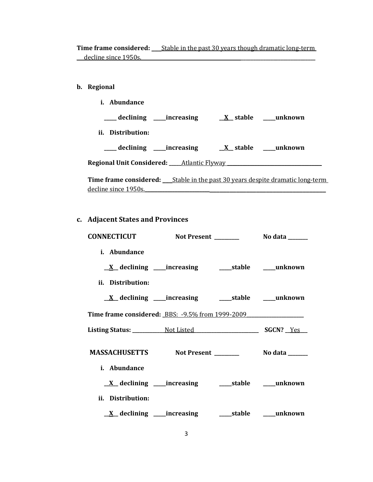**Time frame considered: \_\_\_**Stable in the past 30 years though dramatic long-term \_\_\_decline since 1950s.**\_\_\_\_\_\_\_\_\_\_\_\_\_\_\_\_\_\_\_\_\_\_\_\_\_\_\_\_\_\_\_\_\_\_\_\_\_\_\_\_\_\_\_\_\_\_\_\_\_\_\_\_\_\_\_\_\_\_\_\_\_\_\_\_\_\_\_\_\_\_** 

## **b. Regional**

|  | Abundance |
|--|-----------|
|--|-----------|

- **\_\_\_\_\_ declining \_\_\_\_\_increasing \_\_X\_\_ stable \_\_\_\_\_unknown**
- **ii. Distribution:**

**\_\_\_\_\_ declining \_\_\_\_\_increasing \_\_X\_\_ stable \_\_\_\_\_unknown Regional Unit Considered: \_\_\_\_\_**Atlantic Flyway **\_\_\_\_\_\_\_\_\_\_\_\_\_\_\_\_\_\_\_\_\_\_\_\_\_\_\_\_\_\_\_\_\_\_\_\_\_\_** 

**Time frame considered: \_\_\_**Stable in the past 30 years despite dramatic long-term decline since 1950s.**\_\_\_\_\_\_\_\_\_\_\_\_\_\_\_\_\_\_\_\_\_\_\_\_\_\_\_\_\_\_\_\_\_\_\_\_\_\_\_\_\_\_\_\_\_\_\_\_\_\_\_\_\_\_\_\_\_\_\_\_\_** 

# **c. Adjacent States and Provinces**

| CONNECTICUT         |                                                              | Not Present _______ | No data ______ |
|---------------------|--------------------------------------------------------------|---------------------|----------------|
| i. Abundance        |                                                              |                     |                |
|                     | <u>X</u> declining ____increasing _______stable _____unknown |                     |                |
| ii. Distribution:   |                                                              |                     |                |
|                     | <u>X</u> declining ____increasing ______stable _____unknown  |                     |                |
|                     |                                                              |                     |                |
|                     |                                                              |                     |                |
|                     |                                                              |                     |                |
| <i>i.</i> Abundance |                                                              |                     |                |
|                     |                                                              |                     |                |
| ii. Distribution:   |                                                              |                     |                |
|                     |                                                              |                     |                |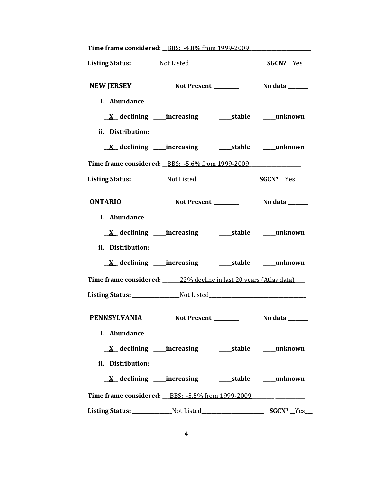|                   | Time frame considered: _BBS: -4.8% from 1999-2009                                |  |
|-------------------|----------------------------------------------------------------------------------|--|
|                   |                                                                                  |  |
| <b>NEW JERSEY</b> |                                                                                  |  |
| i. Abundance      |                                                                                  |  |
|                   | <u>X</u> declining ____increasing ______stable _____unknown                      |  |
| ii. Distribution: |                                                                                  |  |
|                   | <u>X</u> declining ____increasing ______stable ____unknown                       |  |
|                   | <b>Time frame considered:</b> BBS: -5.6% from 1999-2009                          |  |
|                   |                                                                                  |  |
| <b>ONTARIO</b>    |                                                                                  |  |
| i. Abundance      |                                                                                  |  |
|                   | <u>X</u> declining ____increasing ______stable _____unknown                      |  |
| ii. Distribution: |                                                                                  |  |
|                   | <u>X</u> declining ____increasing ______stable ____unknown                       |  |
|                   | Time frame considered: 22% decline in last 20 years (Atlas data)                 |  |
|                   | Listing Status: ___________________Not Listed___________________________________ |  |
| PENNSYLVANIA      |                                                                                  |  |
| i. Abundance      |                                                                                  |  |
|                   | <u>X</u> declining ____increasing ______stable ____unknown                       |  |
| ii. Distribution: |                                                                                  |  |
|                   | <u>X</u> declining ____increasing ______stable ____unknown                       |  |
|                   | Time frame considered: BBS: -5.5% from 1999-2009 ______ __________               |  |
|                   |                                                                                  |  |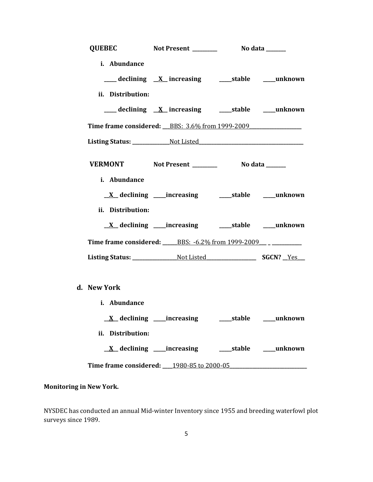|                   | QUEBEC Not Present __________ No data ______                           |  |
|-------------------|------------------------------------------------------------------------|--|
| i. Abundance      |                                                                        |  |
|                   | ___declining <u>X</u> _increasing ____stable ___unknown                |  |
| ii. Distribution: |                                                                        |  |
|                   | ___ declining <u>X</u> increasing ____ stable ____ unknown             |  |
|                   |                                                                        |  |
|                   |                                                                        |  |
|                   |                                                                        |  |
| i. Abundance      |                                                                        |  |
|                   |                                                                        |  |
| ii. Distribution: |                                                                        |  |
|                   | <u>X</u> declining ____increasing ______stable ____unknown             |  |
|                   | <b>Time frame considered:</b> BBS: -6.2% from 1999-2009 __ _ _________ |  |
|                   |                                                                        |  |
|                   |                                                                        |  |
| d. New York       |                                                                        |  |
| i. Abundance      |                                                                        |  |
|                   | <u>X</u> declining ____increasing _______stable _____unknown           |  |
| ii. Distribution: |                                                                        |  |
|                   | <u>X</u> declining ____increasing ______stable _____unknown            |  |
|                   | Time frame considered: 1980-85 to 2000-05                              |  |

# **Monitoring in New York.**

NYSDEC has conducted an annual Mid-winter Inventory since 1955 and breeding waterfowl plot surveys since 1989.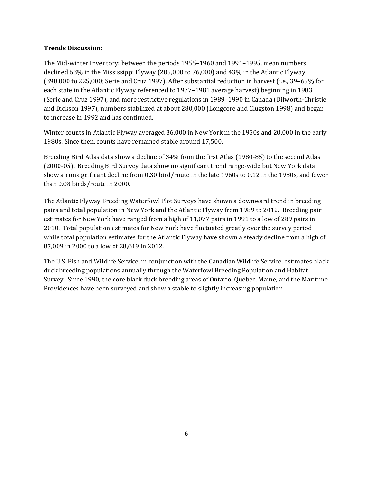## **Trends Discussion:**

The Mid-winter Inventory: between the periods 1955–1960 and 1991–1995, mean numbers declined 63% in the Mississippi Flyway (205,000 to 76,000) and 43% in the Atlantic Flyway (398,000 to 225,000; Serie and Cruz 1997). After substantial reduction in harvest (i.e., 39–65% for each state in the Atlantic Flyway referenced to 1977–1981 average harvest) beginning in 1983 (Serie and Cruz 1997), and more restrictive regulations in 1989–1990 in Canada (Dilworth-Christie and Dickson 1997), numbers stabilized at about 280,000 (Longcore and Clugston 1998) and began to increase in 1992 and has continued.

Winter counts in Atlantic Flyway averaged 36,000 in New York in the 1950s and 20,000 in the early 1980s. Since then, counts have remained stable around 17,500.

Breeding Bird Atlas data show a decline of 34% from the first Atlas (1980-85) to the second Atlas (2000-05). Breeding Bird Survey data show no significant trend range-wide but New York data show a nonsignificant decline from 0.30 bird/route in the late 1960s to 0.12 in the 1980s, and fewer than 0.08 birds/route in 2000.

The Atlantic Flyway Breeding Waterfowl Plot Surveys have shown a downward trend in breeding pairs and total population in New York and the Atlantic Flyway from 1989 to 2012. Breeding pair estimates for New York have ranged from a high of 11,077 pairs in 1991 to a low of 289 pairs in 2010. Total population estimates for New York have fluctuated greatly over the survey period while total population estimates for the Atlantic Flyway have shown a steady decline from a high of 87,009 in 2000 to a low of 28,619 in 2012.

The U.S. Fish and Wildlife Service, in conjunction with the Canadian Wildlife Service, estimates black duck breeding populations annually through the Waterfowl Breeding Population and Habitat Survey. Since 1990, the core black duck breeding areas of Ontario, Quebec, Maine, and the Maritime Providences have been surveyed and show a stable to slightly increasing population.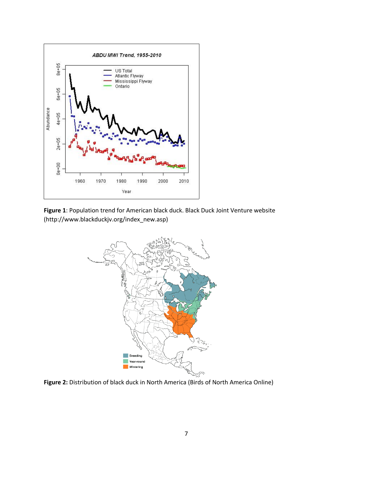





Figure 2: Distribution of black duck in North America (Birds of North America Online)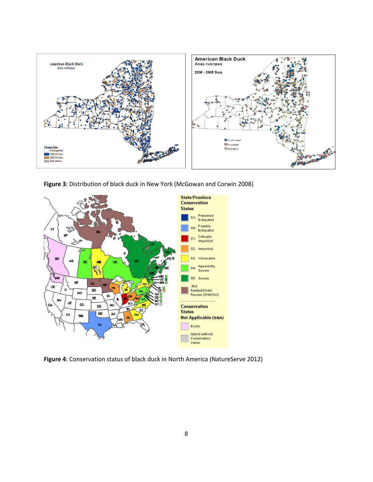

**Figure 3**: Distribution of black duck in New York (McGowan and Corwin 2008)



**Figure 4**: Conservation status of black duck in North America (NatureServe 2012)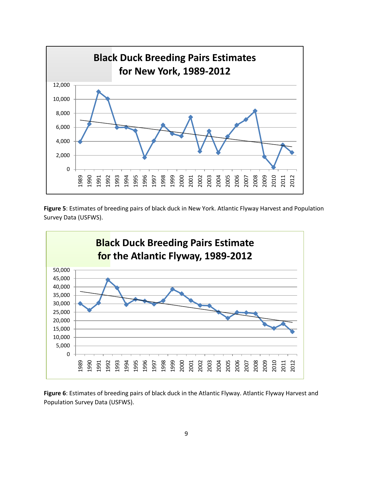

**Figure 5**: Estimates of breeding pairs of black duck in New York. Atlantic Flyway Harvest and Population Survey Data (USFWS).



**Figure 6**: Estimates of breeding pairs of black duck in the Atlantic Flyway. Atlantic Flyway Harvest and Population Survey Data (USFWS).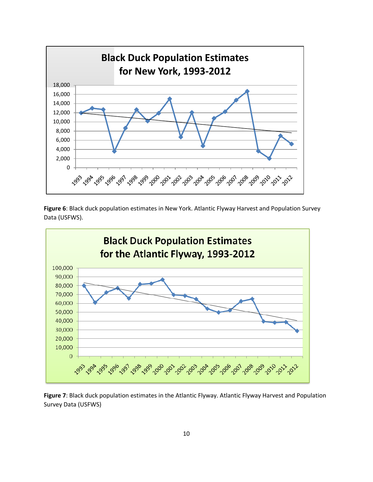

**Figure 6**: Black duck population estimates in New York. Atlantic Flyway Harvest and Population Survey Data (USFWS).



**Figure 7**: Black duck population estimates in the Atlantic Flyway. Atlantic Flyway Harvest and Population Survey Data (USFWS)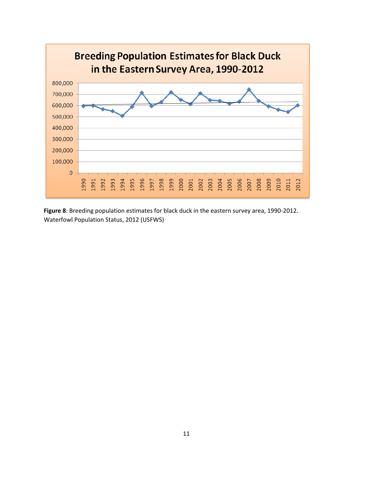

**Figure 8**: Breeding population estimates for black duck in the eastern survey area, 1990-2012. Waterfowl Population Status, 2012 (USFWS)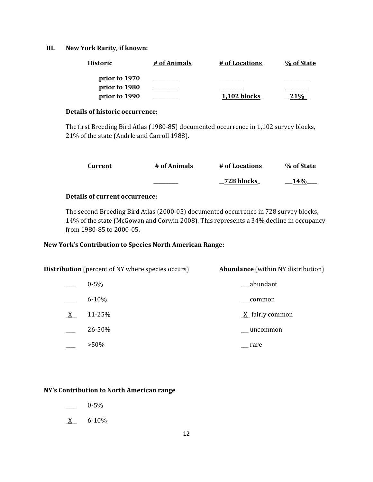## **III. New York Rarity, if known:**

| <b>Historic</b> | # of Animals | # of Locations | % of State |
|-----------------|--------------|----------------|------------|
| prior to 1970   |              |                |            |
| prior to 1980   |              |                |            |
| prior to 1990   |              | $1,102$ blocks | 10/        |

## **Details of historic occurrence:**

The first Breeding Bird Atlas (1980-85) documented occurrence in 1,102 survey blocks, 21% of the state (Andrle and Carroll 1988).

| Current | # of Animals | # of Locations | % of State |
|---------|--------------|----------------|------------|
|         |              | 728 blocks     | <b>14%</b> |

## **Details of current occurrence:**

The second Breeding Bird Atlas (2000-05) documented occurrence in 728 survey blocks, 14% of the state (McGowan and Corwin 2008). This represents a 34% decline in occupancy from 1980-85 to 2000-05.

# **New York's Contribution to Species North American Range:**

|   | <b>Distribution</b> (percent of NY where species occurs) | <b>Abundance</b> (within NY distribution) |
|---|----------------------------------------------------------|-------------------------------------------|
|   | $0 - 5\%$                                                | __ abundant                               |
|   | $6 - 10%$                                                | common                                    |
| X | 11-25%                                                   | $\underline{X}$ fairly common             |
|   | 26-50%                                                   | ___ uncommon                              |
|   | $>50\%$                                                  | rare                                      |

# **NY's Contribution to North American range**

- $-$  0-5%
- $X$  6-10%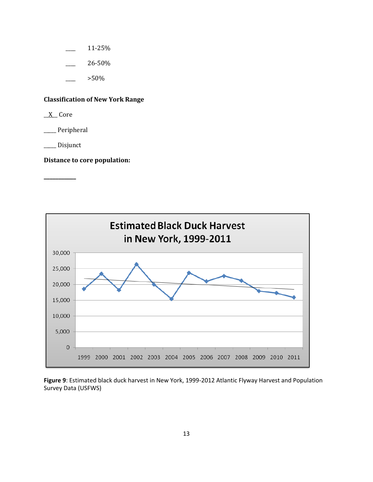- \_\_\_\_ 11-25%
- \_\_\_\_ 26-50%
	- \_\_\_\_ >50%

# **Classification of New York Range**

 $X$  Core

\_\_\_\_\_ Peripheral

\_\_\_\_\_ Disjunct

**\_\_\_\_\_\_\_\_\_\_\_** 

**Distance to core population:** 



**Figure 9**: Estimated black duck harvest in New York, 1999-2012 Atlantic Flyway Harvest and Population Survey Data (USFWS)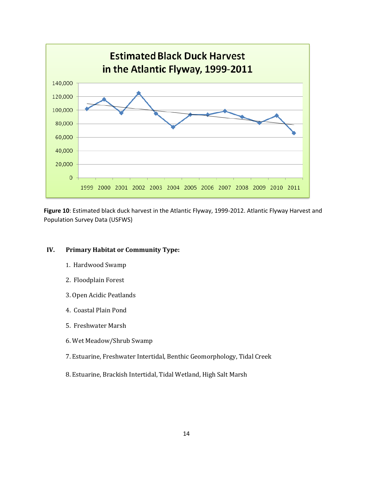

**Figure 10**: Estimated black duck harvest in the Atlantic Flyway, 1999-2012. Atlantic Flyway Harvest and Population Survey Data (USFWS)

## **IV. Primary Habitat or Community Type:**

- 1. Hardwood Swamp
- 2. Floodplain Forest
- 3. Open Acidic Peatlands
- 4. Coastal Plain Pond
- 5. Freshwater Marsh
- 6. Wet Meadow/Shrub Swamp
- 7. Estuarine, Freshwater Intertidal, Benthic Geomorphology, Tidal Creek
- 8. Estuarine, Brackish Intertidal, Tidal Wetland, High Salt Marsh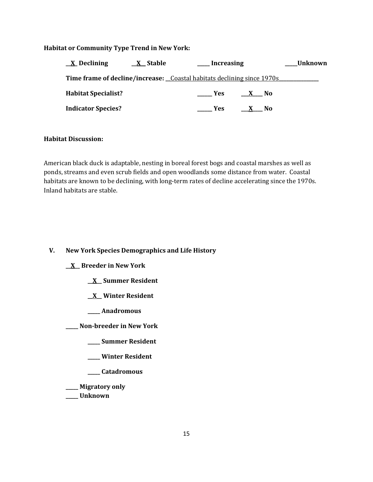## **Habitat or Community Type Trend in New York:**

| $\underline{X}$ Declining  | <u>_X_Stable</u>                                                       | Increasing         |                | <b>Unknown</b> |
|----------------------------|------------------------------------------------------------------------|--------------------|----------------|----------------|
|                            | Time frame of decline/increase: Coastal habitats declining since 1970s |                    |                |                |
| <b>Habitat Specialist?</b> |                                                                        | <b>Example SER</b> | X No           |                |
| <b>Indicator Species?</b>  |                                                                        | Yes                | N <sub>0</sub> |                |

#### **Habitat Discussion:**

 ponds, streams and even scrub fields and open woodlands some distance from water. Coastal American black duck is adaptable, nesting in boreal forest bogs and coastal marshes as well as habitats are known to be declining, with long-term rates of decline accelerating since the 1970s. Inland habitats are stable.

# **V. New York Species Demographics and Life History**

**\_\_X\_\_ Breeder in New York** 

- **\_\_X\_\_ Summer Resident**
- **\_\_X\_\_ Winter Resident**
- **\_\_\_\_\_ Anadromous**

**\_\_\_\_\_ Non-breeder in New York** 

- **\_\_\_\_\_ Summer Resident**
- **\_\_\_\_\_ Winter Resident**
- **\_\_\_\_\_ Catadromous**
- **\_\_\_\_\_ Migratory only**
- **\_\_\_\_\_ Unknown**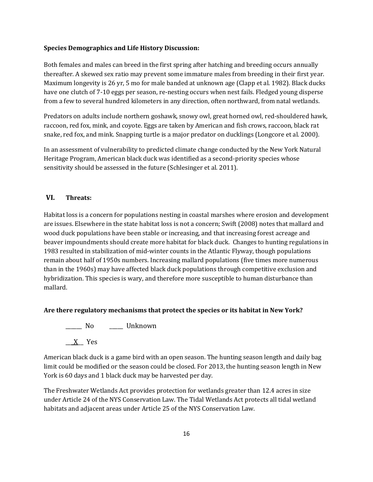#### **Species Demographics and Life History Discussion:**

Both females and males can breed in the first spring after hatching and breeding occurs annually thereafter. A skewed sex ratio may prevent some immature males from breeding in their first year. Maximum longevity is 26 yr, 5 mo for male banded at unknown age (Clapp et al. 1982). Black ducks have one clutch of 7-10 eggs per season, re-nesting occurs when nest fails. Fledged young disperse from a few to several hundred kilometers in any direction, often northward, from natal wetlands.

Predators on adults include northern goshawk, snowy owl, great horned owl, red-shouldered hawk, raccoon, red fox, mink, and coyote. Eggs are taken by American and fish crows, raccoon, black rat snake, red fox, and mink. Snapping turtle is a major predator on ducklings (Longcore et al. 2000).

In an assessment of vulnerability to predicted climate change conducted by the New York Natural Heritage Program, American black duck was identified as a second-priority species whose sensitivity should be assessed in the future (Schlesinger et al. 2011).

## **VI. Threats:**

 beaver impoundments should create more habitat for black duck. Changes to hunting regulations in Habitat loss is a concern for populations nesting in coastal marshes where erosion and development are issues. Elsewhere in the state habitat loss is not a concern; Swift (2008) notes that mallard and wood duck populations have been stable or increasing, and that increasing forest acreage and 1983 resulted in stabilization of mid-winter counts in the Atlantic Flyway, though populations remain about half of 1950s numbers. Increasing mallard populations (five times more numerous than in the 1960s) may have affected black duck populations through competitive exclusion and hybridization. This species is wary, and therefore more susceptible to human disturbance than mallard.

## **Are there regulatory mechanisms that protect the species or its habitat in New York?**

\_\_\_\_\_\_ No \_\_\_\_\_ Unknown \_\_\_X\_\_ Yes

American black duck is a game bird with an open season. The hunting season length and daily bag limit could be modified or the season could be closed. For 2013, the hunting season length in New York is 60 days and 1 black duck may be harvested per day.

 habitats and adjacent areas under Article 25 of the NYS Conservation Law. The Freshwater Wetlands Act provides protection for wetlands greater than 12.4 acres in size under Article 24 of the NYS Conservation Law. The Tidal Wetlands Act protects all tidal wetland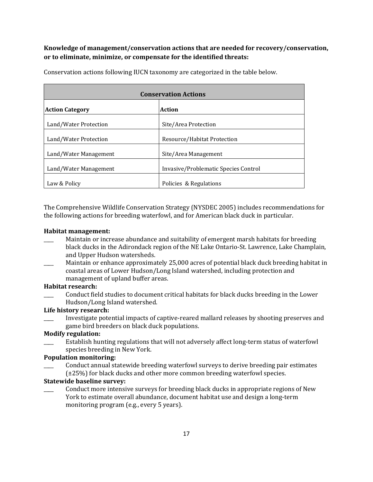# **Knowledge of management/conservation actions that are needed for recovery/conservation, or to eliminate, minimize, or compensate for the identified threats:**

| <b>Conservation Actions</b> |                                      |  |
|-----------------------------|--------------------------------------|--|
| <b>Action Category</b>      | <b>Action</b>                        |  |
| Land/Water Protection       | Site/Area Protection                 |  |
| Land/Water Protection       | Resource/Habitat Protection          |  |
| Land/Water Management       | Site/Area Management                 |  |
| Land/Water Management       | Invasive/Problematic Species Control |  |
| Law & Policy                | Policies & Regulations               |  |

Conservation actions following IUCN taxonomy are categorized in the table below.

The Comprehensive Wildlife Conservation Strategy (NYSDEC 2005) includes recommendations for the following actions for breeding waterfowl, and for American black duck in particular.

#### **Habitat management:**

- Maintain or increase abundance and suitability of emergent marsh habitats for breeding black ducks in the Adirondack region of the NE Lake Ontario-St. Lawrence, Lake Champlain, and Upper Hudson watersheds.
- Maintain or enhance approximately 25,000 acres of potential black duck breeding habitat in coastal areas of Lower Hudson/Long Island watershed, including protection and management of upland buffer areas.

#### **Habitat research:**

Conduct field studies to document critical habitats for black ducks breeding in the Lower Hudson/Long Island watershed.

## **Life history research:**

Investigate potential impacts of captive-reared mallard releases by shooting preserves and game bird breeders on black duck populations.

## **Modify regulation:**

Establish hunting regulations that will not adversely affect long-term status of waterfowl species breeding in New York.

## **Population monitoring:**

\_\_\_\_ Conduct annual statewide breeding waterfowl surveys to derive breeding pair estimates (±25%) for black ducks and other more common breeding waterfowl species.

## **Statewide baseline survey:**

\_\_\_\_ Conduct more intensive surveys for breeding black ducks in appropriate regions of New York to estimate overall abundance, document habitat use and design a long-term monitoring program (e.g., every 5 years).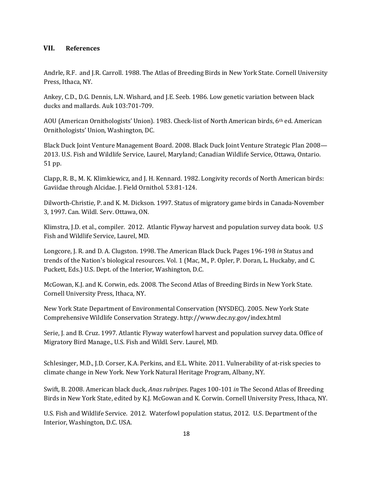## **VII. References**

Andrle, R.F. and J.R. Carroll. 1988. The Atlas of Breeding Birds in New York State. Cornell University Press, Ithaca, NY.

Ankey, C.D., D.G. Dennis, L.N. Wishard, and J.E. Seeb. 1986. Low genetic variation between black ducks and mallards. Auk 103:701-709.

AOU (American Ornithologists' Union). 1983. Check-list of North American birds, 6th ed. American Ornithologists' Union, Washington, DC.

Black Duck Joint Venture Management Board. 2008. Black Duck Joint Venture Strategic Plan 2008— 2013. U.S. Fish and Wildlife Service, Laurel, Maryland; Canadian Wildlife Service, Ottawa, Ontario. 51 pp.

Clapp, R. B., M. K. Klimkiewicz, and J. H. Kennard. 1982. Longivity records of North American birds: Gaviidae through Alcidae. J. Field Ornithol. 53:81-124.

Dilworth-Christie, P. and K. M. Dickson. 1997. Status of migratory game birds in Canada-November 3, 1997. Can. Wildl. Serv. Ottawa, ON.

Klimstra, J.D. et al., compiler. 2012. Atlantic Flyway harvest and population survey data book. U.S Fish and Wildlife Service, Laurel, MD.

Longcore, J. R. and D. A. Clugston. 1998. The American Black Duck. Pages 196-198 *in* Status and trends of the Nation's biological resources. Vol. 1 (Mac, M., P. Opler, P. Doran, L. Huckaby, and C. Puckett, Eds.) U.S. Dept. of the Interior, Washington, D.C.

McGowan, K.J. and K. Corwin, eds. 2008. The Second Atlas of Breeding Birds in New York State. Cornell University Press, Ithaca, NY.

New York State Department of Environmental Conservation (NYSDEC). 2005. New York State Comprehensive Wildlife Conservation Strategy. <http://www.dec.ny.gov/index.html>

Serie, J. and B. Cruz. 1997. Atlantic Flyway waterfowl harvest and population survey data. Office of Migratory Bird Manage., U.S. Fish and Wildl. Serv. Laurel, MD.

Schlesinger, M.D., J.D. Corser, K.A. Perkins, and E.L. White. 2011. Vulnerability of at-risk species to climate change in New York. New York Natural Heritage Program, Albany, NY.

Swift, B. 2008. American black duck, *Anas rubripes*. Pages 100-101 *in* The Second Atlas of Breeding Birds in New York State, edited by K.J. McGowan and K. Corwin. Cornell University Press, Ithaca, NY.

U.S. Fish and Wildlife Service. 2012. Waterfowl population status, 2012. U.S. Department of the Interior, Washington, D.C. USA.